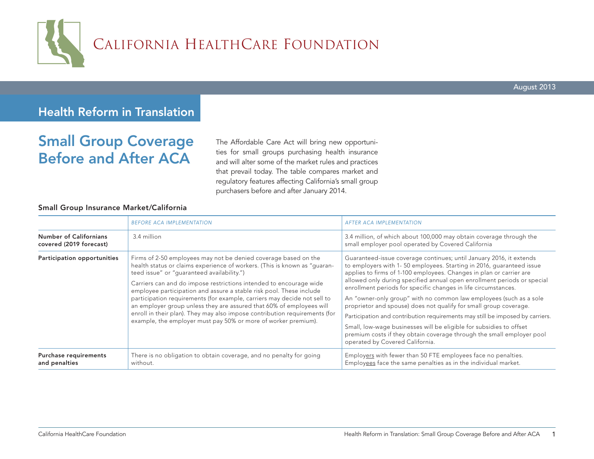

# Health Reform in Translation

# Small Group Coverage Before and After ACA

The Affordable Care Act will bring new opportunities for small groups purchasing health insurance and will alter some of the market rules and practices that prevail today. The table compares market and regulatory features affecting California's small group purchasers before and after January 2014.

#### Small Group Insurance Market/California

|                                                          | <b>BEFORE ACA IMPLEMENTATION</b>                                                                                                                                                                                                                                                                                                                                                                                                                                                                                                                                                                                                            | <b>AFTER ACA IMPLEMENTATION</b>                                                                                                                                                                                                                                                                                                                                                                                                                                                                                                                                                                                                                                                                                                                                                |
|----------------------------------------------------------|---------------------------------------------------------------------------------------------------------------------------------------------------------------------------------------------------------------------------------------------------------------------------------------------------------------------------------------------------------------------------------------------------------------------------------------------------------------------------------------------------------------------------------------------------------------------------------------------------------------------------------------------|--------------------------------------------------------------------------------------------------------------------------------------------------------------------------------------------------------------------------------------------------------------------------------------------------------------------------------------------------------------------------------------------------------------------------------------------------------------------------------------------------------------------------------------------------------------------------------------------------------------------------------------------------------------------------------------------------------------------------------------------------------------------------------|
| <b>Number of Californians</b><br>covered (2019 forecast) | 3.4 million                                                                                                                                                                                                                                                                                                                                                                                                                                                                                                                                                                                                                                 | 3.4 million, of which about 100,000 may obtain coverage through the<br>small employer pool operated by Covered California                                                                                                                                                                                                                                                                                                                                                                                                                                                                                                                                                                                                                                                      |
| Participation opportunities                              | Firms of 2-50 employees may not be denied coverage based on the<br>health status or claims experience of workers. (This is known as "guaran-<br>teed issue" or "guaranteed availability.")<br>Carriers can and do impose restrictions intended to encourage wide<br>employee participation and assure a stable risk pool. These include<br>participation requirements (for example, carriers may decide not sell to<br>an employer group unless they are assured that 60% of employees will<br>enroll in their plan). They may also impose contribution requirements (for<br>example, the employer must pay 50% or more of worker premium). | Guaranteed-issue coverage continues; until January 2016, it extends<br>to employers with 1-50 employees. Starting in 2016, guaranteed issue<br>applies to firms of 1-100 employees. Changes in plan or carrier are<br>allowed only during specified annual open enrollment periods or special<br>enrollment periods for specific changes in life circumstances.<br>An "owner-only group" with no common law employees (such as a sole<br>proprietor and spouse) does not qualify for small group coverage.<br>Participation and contribution requirements may still be imposed by carriers.<br>Small, low-wage businesses will be eligible for subsidies to offset<br>premium costs if they obtain coverage through the small employer pool<br>operated by Covered California. |
| Purchase requirements<br>and penalties                   | There is no obligation to obtain coverage, and no penalty for going<br>without.                                                                                                                                                                                                                                                                                                                                                                                                                                                                                                                                                             | Employers with fewer than 50 FTE employees face no penalties.<br>Employees face the same penalties as in the individual market.                                                                                                                                                                                                                                                                                                                                                                                                                                                                                                                                                                                                                                                |